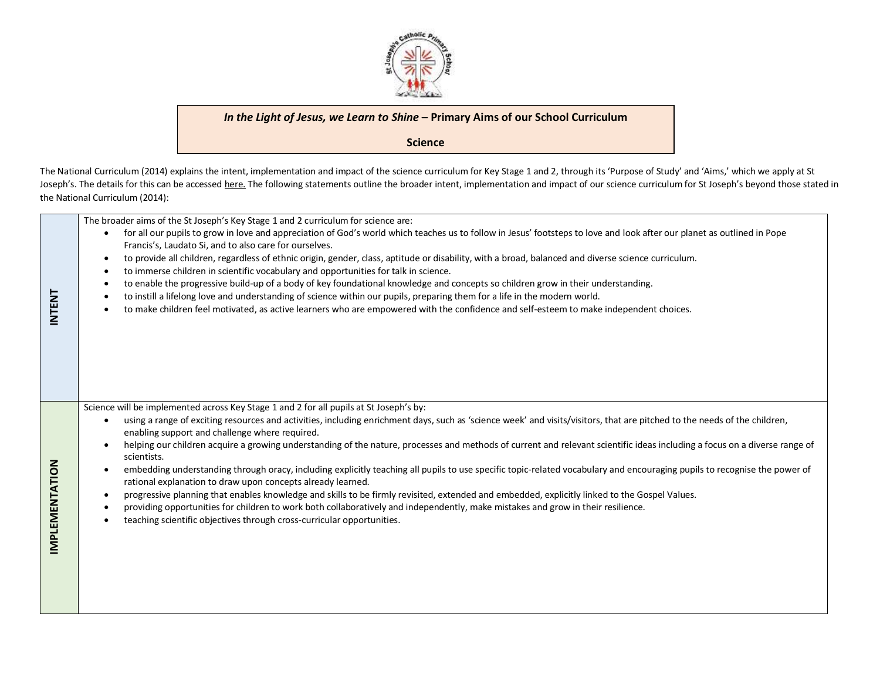

## *In the Light of Jesus, we Learn to Shine* **– Primary Aims of our School Curriculum**

**Science**

The National Curriculum (2014) explains the intent, implementation and impact of the science curriculum for Key Stage 1 and 2, through its 'Purpose of Study' and 'Aims,' which we apply at St Joseph's. The details for this can be accessed [here.](https://www.gov.uk/government/publications/national-curriculum-in-england-science-programmes-of-study/national-curriculum-in-england-science-programmes-of-study) The following statements outline the broader intent, implementation and impact of our science curriculum for St Joseph's beyond those stated in the National Curriculum (2014):

| <b>INTENT</b>         | The broader aims of the St Joseph's Key Stage 1 and 2 curriculum for science are:<br>for all our pupils to grow in love and appreciation of God's world which teaches us to follow in Jesus' footsteps to love and look after our planet as outlined in Pope<br>Francis's, Laudato Si, and to also care for ourselves.<br>to provide all children, regardless of ethnic origin, gender, class, aptitude or disability, with a broad, balanced and diverse science curriculum.<br>$\bullet$<br>to immerse children in scientific vocabulary and opportunities for talk in science.<br>$\bullet$<br>to enable the progressive build-up of a body of key foundational knowledge and concepts so children grow in their understanding.<br>to instill a lifelong love and understanding of science within our pupils, preparing them for a life in the modern world.<br>to make children feel motivated, as active learners who are empowered with the confidence and self-esteem to make independent choices.                                                                                                                                       |
|-----------------------|-------------------------------------------------------------------------------------------------------------------------------------------------------------------------------------------------------------------------------------------------------------------------------------------------------------------------------------------------------------------------------------------------------------------------------------------------------------------------------------------------------------------------------------------------------------------------------------------------------------------------------------------------------------------------------------------------------------------------------------------------------------------------------------------------------------------------------------------------------------------------------------------------------------------------------------------------------------------------------------------------------------------------------------------------------------------------------------------------------------------------------------------------|
| <b>IMPLEMENTATION</b> | Science will be implemented across Key Stage 1 and 2 for all pupils at St Joseph's by:<br>using a range of exciting resources and activities, including enrichment days, such as 'science week' and visits/visitors, that are pitched to the needs of the children,<br>enabling support and challenge where required.<br>helping our children acquire a growing understanding of the nature, processes and methods of current and relevant scientific ideas including a focus on a diverse range of<br>scientists.<br>embedding understanding through oracy, including explicitly teaching all pupils to use specific topic-related vocabulary and encouraging pupils to recognise the power of<br>٠<br>rational explanation to draw upon concepts already learned.<br>progressive planning that enables knowledge and skills to be firmly revisited, extended and embedded, explicitly linked to the Gospel Values.<br>$\bullet$<br>providing opportunities for children to work both collaboratively and independently, make mistakes and grow in their resilience.<br>teaching scientific objectives through cross-curricular opportunities. |